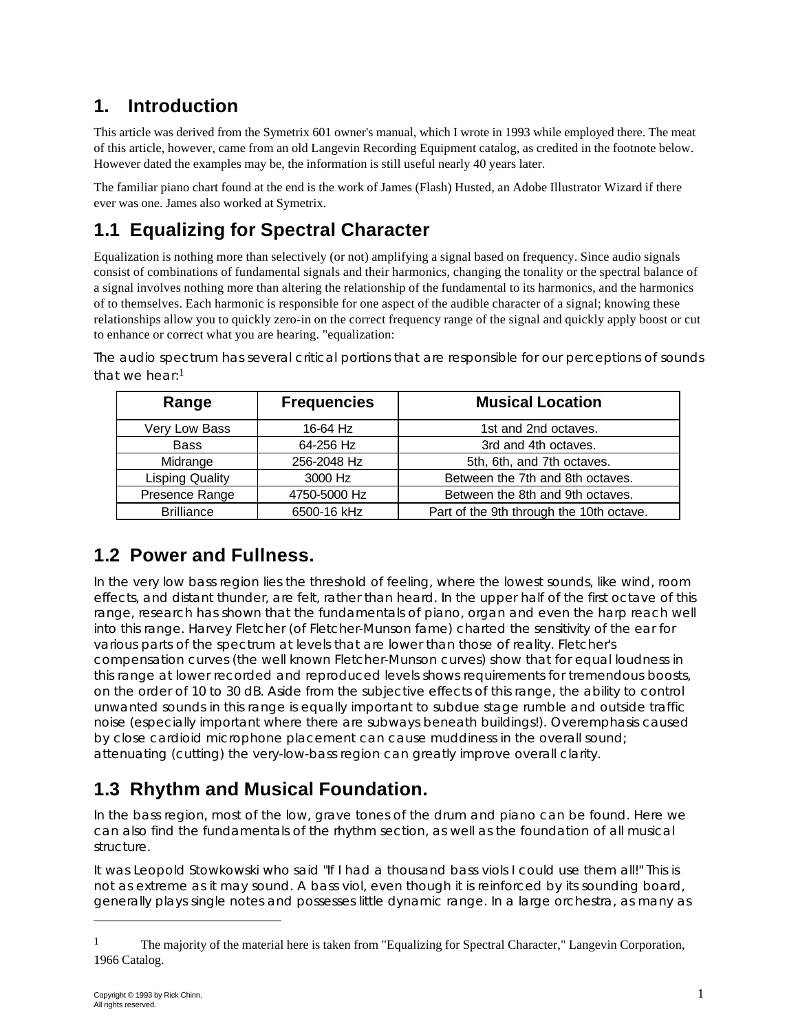## **1. Introduction**

This article was derived from the Symetrix 601 owner's manual, which I wrote in 1993 while employed there. The meat of this article, however, came from an old Langevin Recording Equipment catalog, as credited in the footnote below. However dated the examples may be, the information is still useful nearly 40 years later.

The familiar piano chart found at the end is the work of James (Flash) Husted, an Adobe Illustrator Wizard if there ever was one. James also worked at Symetrix.

## **1.1 Equalizing for Spectral Character**

Equalization is nothing more than selectively (or not) amplifying a signal based on frequency. Since audio signals consist of combinations of fundamental signals and their harmonics, changing the tonality or the spectral balance of a signal involves nothing more than altering the relationship of the fundamental to its harmonics, and the harmonics of to themselves. Each harmonic is responsible for one aspect of the audible character of a signal; knowing these relationships allow you to quickly zero-in on the correct frequency range of the signal and quickly apply boost or cut to enhance or correct what you are hearing. "equalization:

*The audio spectrum has several critical portions that are responsible for our perceptions of sounds that we hear:*1

| Range                  | <b>Frequencies</b> | <b>Musical Location</b>                  |
|------------------------|--------------------|------------------------------------------|
| Very Low Bass          | 16-64 Hz           | 1st and 2nd octaves.                     |
| <b>Bass</b>            | 64-256 Hz          | 3rd and 4th octaves.                     |
| Midrange               | 256-2048 Hz        | 5th, 6th, and 7th octaves.               |
| <b>Lisping Quality</b> | 3000 Hz            | Between the 7th and 8th octaves.         |
| Presence Range         | 4750-5000 Hz       | Between the 8th and 9th octaves.         |
| <b>Brilliance</b>      | 6500-16 kHz        | Part of the 9th through the 10th octave. |

#### **1.2 Power and Fullness.**

*In the very low bass region lies the threshold of feeling, where the lowest sounds, like wind, room effects, and distant thunder, are felt, rather than heard. In the upper half of the first octave of this range, research has shown that the fundamentals of piano, organ and even the harp reach well into this range. Harvey Fletcher (of Fletcher-Munson fame) charted the sensitivity of the ear for various parts of the spectrum at levels that are lower than those of reality. Fletcher's compensation curves (the well known Fletcher-Munson curves) show that for equal loudness in this range at lower recorded and reproduced levels shows requirements for tremendous boosts, on the order of 10 to 30 dB. Aside from the subjective effects of this range, the ability to control unwanted sounds in this range is equally important to subdue stage rumble and outside traffic noise (especially important where there are subways beneath buildings!). Overemphasis caused by close cardioid microphone placement can cause muddiness in the overall sound; attenuating (cutting) the very-low-bass region can greatly improve overall clarity.*

#### **1.3 Rhythm and Musical Foundation.**

*In the bass region, most of the low, grave tones of the drum and piano can be found. Here we can also find the fundamentals of the rhythm section, as well as the foundation of all musical structure.*

*It was Leopold Stowkowski who said "If I had a thousand bass viols I could use them all!" This is not as extreme as it may sound. A bass viol, even though it is reinforced by its sounding board, generally plays single notes and possesses little dynamic range. In a large orchestra, as many as*

l

<sup>&</sup>lt;sup>1</sup> The majority of the material here is taken from "Equalizing for Spectral Character," Langevin Corporation, 1966 Catalog.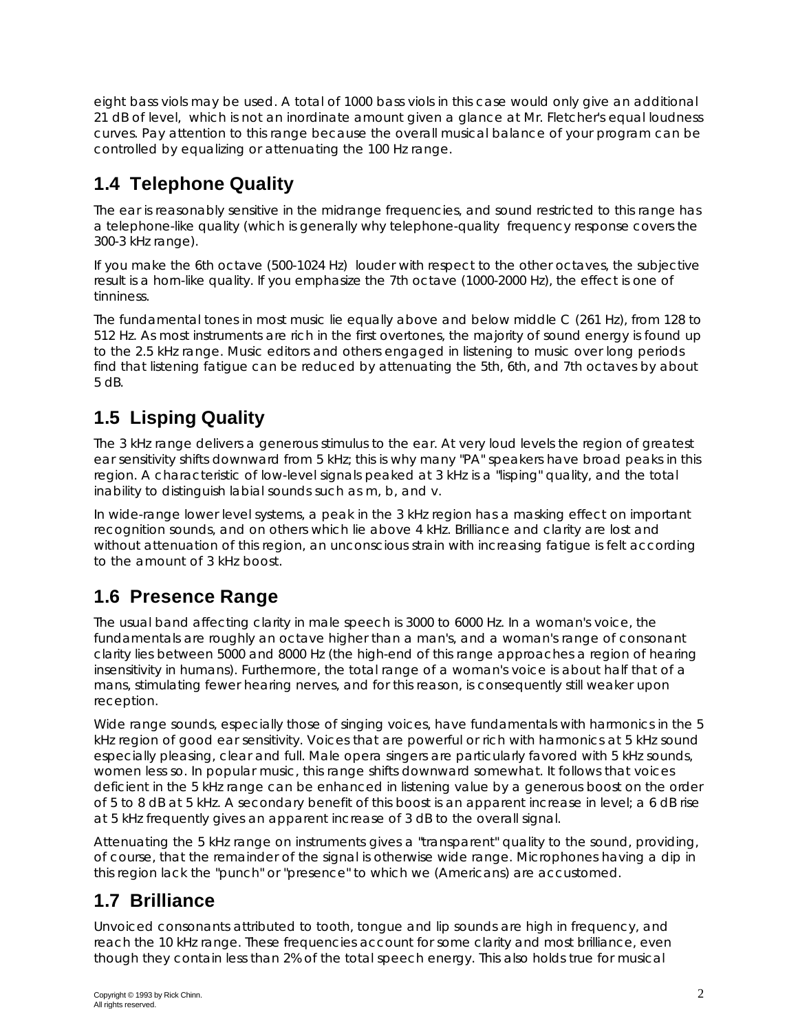*eight bass viols may be used. A total of 1000 bass viols in this case would only give an additional 21 dB of level, which is not an inordinate amount given a glance at Mr. Fletcher's equal loudness curves. Pay attention to this range because the overall musical balance of your program can be controlled by equalizing or attenuating the 100 Hz range.*

# **1.4 Telephone Quality**

*The ear is reasonably sensitive in the midrange frequencies, and sound restricted to this range has a telephone-like quality (which is generally why telephone-quality frequency response covers the 300-3 kHz range).*

*If you make the 6th octave (500-1024 Hz) louder with respect to the other octaves, the subjective result is a horn-like quality. If you emphasize the 7th octave (1000-2000 Hz), the effect is one of tinniness.*

*The fundamental tones in most music lie equally above and below middle C (261 Hz), from 128 to 512 Hz. As most instruments are rich in the first overtones, the majority of sound energy is found up to the 2.5 kHz range. Music editors and others engaged in listening to music over long periods find that listening fatigue can be reduced by attenuating the 5th, 6th, and 7th octaves by about 5 dB.*

# **1.5 Lisping Quality**

*The 3 kHz range delivers a generous stimulus to the ear. At very loud levels the region of greatest ear sensitivity shifts downward from 5 kHz; this is why many "PA" speakers have broad peaks in this region. A characteristic of low-level signals peaked at 3 kHz is a "lisping" quality, and the total inability to distinguish labial sounds such as m, b, and v.*

*In wide-range lower level systems, a peak in the 3 kHz region has a masking effect on important recognition sounds, and on others which lie above 4 kHz. Brilliance and clarity are lost and without attenuation of this region, an unconscious strain with increasing fatigue is felt according to the amount of 3 kHz boost.*

# **1.6 Presence Range**

*The usual band affecting clarity in male speech is 3000 to 6000 Hz. In a woman's voice, the fundamentals are roughly an octave higher than a man's, and a woman's range of consonant clarity lies between 5000 and 8000 Hz (the high-end of this range approaches a region of hearing insensitivity in humans). Furthermore, the total range of a woman's voice is about half that of a mans, stimulating fewer hearing nerves, and for this reason, is consequently still weaker upon reception.*

*Wide range sounds, especially those of singing voices, have fundamentals with harmonics in the 5 kHz region of good ear sensitivity. Voices that are powerful or rich with harmonics at 5 kHz sound especially pleasing, clear and full. Male opera singers are particularly favored with 5 kHz sounds, women less so. In popular music, this range shifts downward somewhat. It follows that voices deficient in the 5 kHz range can be enhanced in listening value by a generous boost on the order of 5 to 8 dB at 5 kHz. A secondary benefit of this boost is an apparent increase in level; a 6 dB rise at 5 kHz frequently gives an apparent increase of 3 dB to the overall signal.*

*Attenuating the 5 kHz range on instruments gives a "transparent" quality to the sound, providing, of course, that the remainder of the signal is otherwise wide range. Microphones having a dip in this region lack the "punch" or "presence" to which we (Americans) are accustomed.*

#### **1.7 Brilliance**

*Unvoiced consonants attributed to tooth, tongue and lip sounds are high in frequency, and reach the 10 kHz range. These frequencies account for some clarity and most brilliance, even though they contain less than 2% of the total speech energy. This also holds true for musical*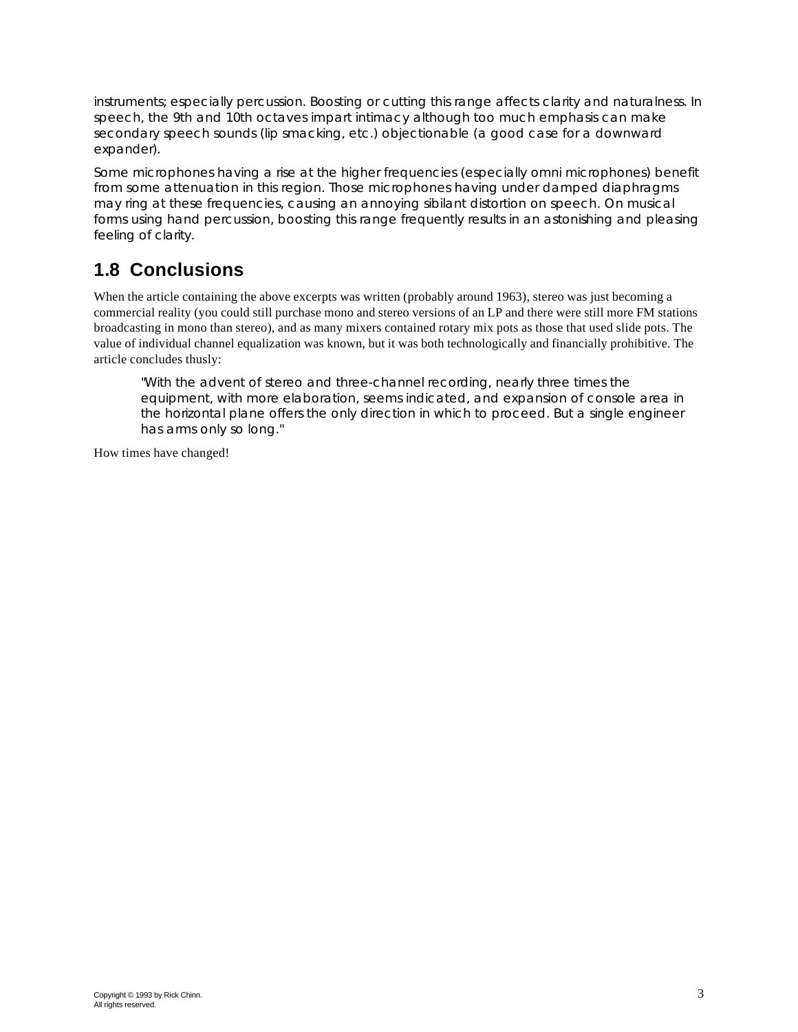*instruments; especially percussion. Boosting or cutting this range affects clarity and naturalness. In speech, the 9th and 10th octaves impart intimacy although too much emphasis can make secondary speech sounds (lip smacking, etc.) objectionable (a good case for a downward expander).*

*Some microphones having a rise at the higher frequencies (especially omni microphones) benefit from some attenuation in this region. Those microphones having under damped diaphragms may ring at these frequencies, causing an annoying sibilant distortion on speech. On musical forms using hand percussion, boosting this range frequently results in an astonishing and pleasing feeling of clarity.*

### **1.8 Conclusions**

When the article containing the above excerpts was written (probably around 1963), stereo was just becoming a commercial reality (you could still purchase mono and stereo versions of an LP and there were still more FM stations broadcasting in mono than stereo), and as many mixers contained rotary mix pots as those that used slide pots. The value of individual channel equalization was known, but it was both technologically and financially prohibitive. The article concludes thusly:

*"With the advent of stereo and three-channel recording, nearly three times the equipment, with more elaboration, seems indicated, and expansion of console area in the horizontal plane offers the only direction in which to proceed. But a single engineer has arms only so long."*

How times have changed!